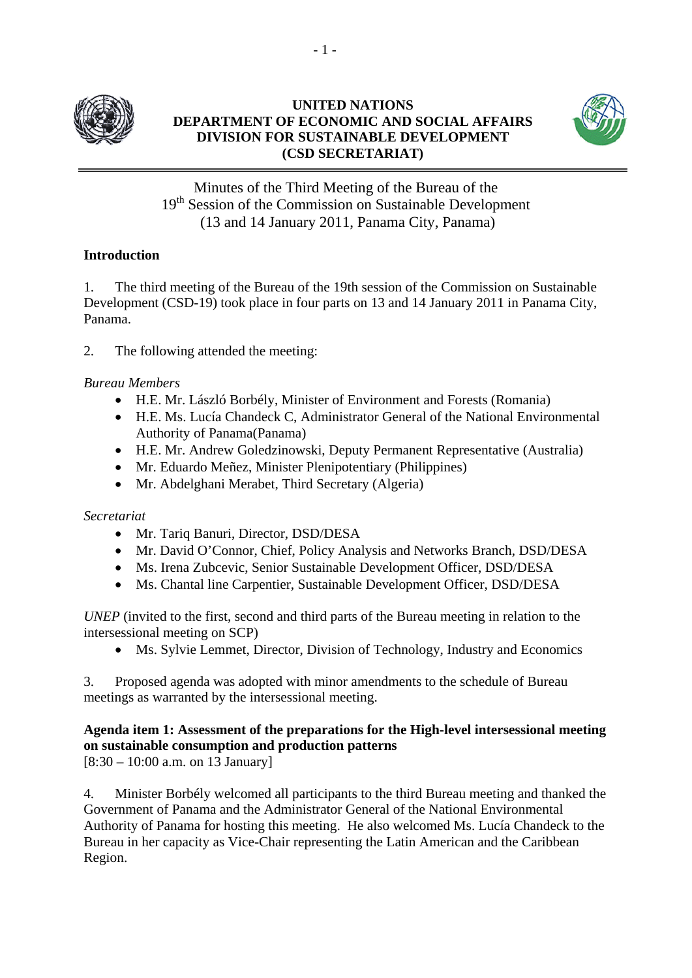

## **UNITED NATIONS DEPARTMENT OF ECONOMIC AND SOCIAL AFFAIRS DIVISION FOR SUSTAINABLE DEVELOPMENT (CSD SECRETARIAT)**



Minutes of the Third Meeting of the Bureau of the 19<sup>th</sup> Session of the Commission on Sustainable Development (13 and 14 January 2011, Panama City, Panama)

# **Introduction**

1. The third meeting of the Bureau of the 19th session of the Commission on Sustainable Development (CSD-19) took place in four parts on 13 and 14 January 2011 in Panama City, Panama.

2. The following attended the meeting:

## *Bureau Members*

- H.E. Mr. László Borbély, Minister of Environment and Forests (Romania)
- H.E. Ms. Lucía Chandeck C, Administrator General of the National Environmental Authority of Panama(Panama)
- H.E. Mr. Andrew Goledzinowski, Deputy Permanent Representative (Australia)
- Mr. Eduardo Meñez, Minister Plenipotentiary (Philippines)
- Mr. Abdelghani Merabet, Third Secretary (Algeria)

## *Secretariat*

- Mr. Tariq Banuri, Director, DSD/DESA
- Mr. David O'Connor, Chief, Policy Analysis and Networks Branch, DSD/DESA
- Ms. Irena Zubcevic, Senior Sustainable Development Officer, DSD/DESA
- Ms. Chantal line Carpentier, Sustainable Development Officer, DSD/DESA

*UNEP* (invited to the first, second and third parts of the Bureau meeting in relation to the intersessional meeting on SCP)

Ms. Sylvie Lemmet, Director, Division of Technology, Industry and Economics

3. Proposed agenda was adopted with minor amendments to the schedule of Bureau meetings as warranted by the intersessional meeting.

# **Agenda item 1: Assessment of the preparations for the High-level intersessional meeting on sustainable consumption and production patterns**

[8:30 – 10:00 a.m. on 13 January]

4. Minister Borbély welcomed all participants to the third Bureau meeting and thanked the Government of Panama and the Administrator General of the National Environmental Authority of Panama for hosting this meeting. He also welcomed Ms. Lucía Chandeck to the Bureau in her capacity as Vice-Chair representing the Latin American and the Caribbean Region.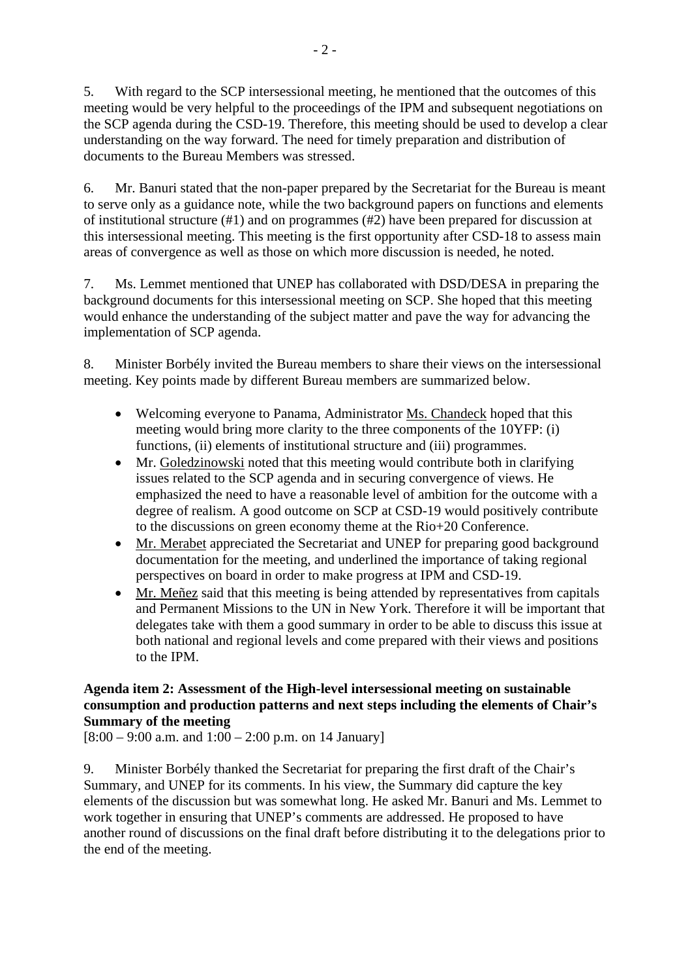5. With regard to the SCP intersessional meeting, he mentioned that the outcomes of this meeting would be very helpful to the proceedings of the IPM and subsequent negotiations on the SCP agenda during the CSD-19. Therefore, this meeting should be used to develop a clear understanding on the way forward. The need for timely preparation and distribution of documents to the Bureau Members was stressed.

6. Mr. Banuri stated that the non-paper prepared by the Secretariat for the Bureau is meant to serve only as a guidance note, while the two background papers on functions and elements of institutional structure (#1) and on programmes (#2) have been prepared for discussion at this intersessional meeting. This meeting is the first opportunity after CSD-18 to assess main areas of convergence as well as those on which more discussion is needed, he noted.

7. Ms. Lemmet mentioned that UNEP has collaborated with DSD/DESA in preparing the background documents for this intersessional meeting on SCP. She hoped that this meeting would enhance the understanding of the subject matter and pave the way for advancing the implementation of SCP agenda.

8. Minister Borbély invited the Bureau members to share their views on the intersessional meeting. Key points made by different Bureau members are summarized below.

- Welcoming everyone to Panama, Administrator Ms. Chandeck hoped that this meeting would bring more clarity to the three components of the 10YFP: (i) functions, (ii) elements of institutional structure and (iii) programmes.
- Mr. Goledzinowski noted that this meeting would contribute both in clarifying issues related to the SCP agenda and in securing convergence of views. He emphasized the need to have a reasonable level of ambition for the outcome with a degree of realism. A good outcome on SCP at CSD-19 would positively contribute to the discussions on green economy theme at the Rio+20 Conference.
- Mr. Merabet appreciated the Secretariat and UNEP for preparing good background documentation for the meeting, and underlined the importance of taking regional perspectives on board in order to make progress at IPM and CSD-19.
- Mr. Meñez said that this meeting is being attended by representatives from capitals and Permanent Missions to the UN in New York. Therefore it will be important that delegates take with them a good summary in order to be able to discuss this issue at both national and regional levels and come prepared with their views and positions to the IPM.

# **Agenda item 2: Assessment of the High-level intersessional meeting on sustainable consumption and production patterns and next steps including the elements of Chair's Summary of the meeting**

 $[8:00 - 9:00$  a.m. and  $1:00 - 2:00$  p.m. on 14 January]

9. Minister Borbély thanked the Secretariat for preparing the first draft of the Chair's Summary, and UNEP for its comments. In his view, the Summary did capture the key elements of the discussion but was somewhat long. He asked Mr. Banuri and Ms. Lemmet to work together in ensuring that UNEP's comments are addressed. He proposed to have another round of discussions on the final draft before distributing it to the delegations prior to the end of the meeting.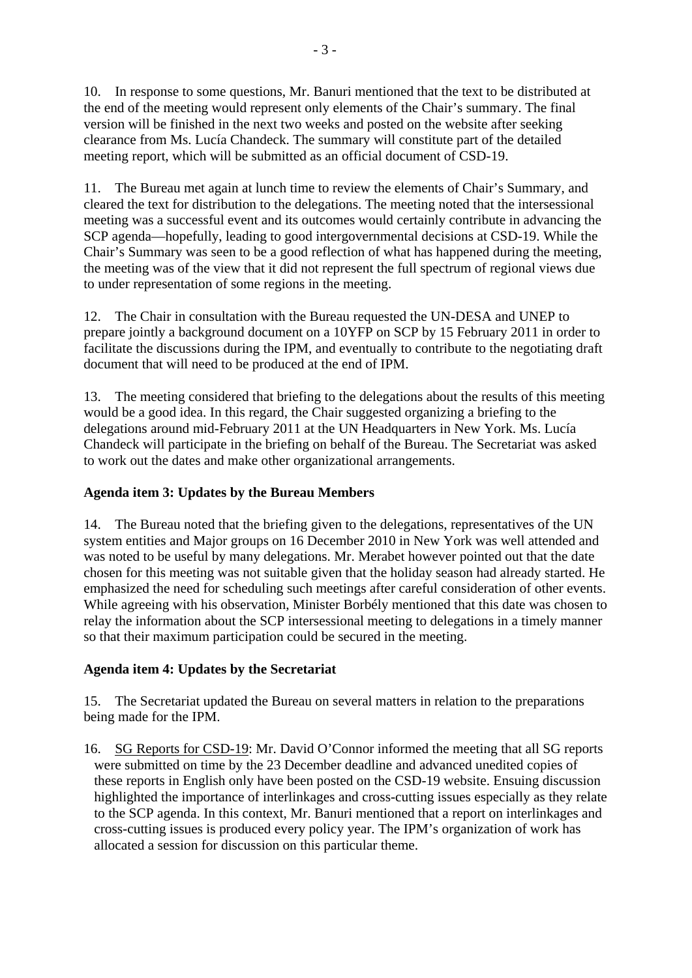10. In response to some questions, Mr. Banuri mentioned that the text to be distributed at the end of the meeting would represent only elements of the Chair's summary. The final version will be finished in the next two weeks and posted on the website after seeking clearance from Ms. Lucía Chandeck. The summary will constitute part of the detailed meeting report, which will be submitted as an official document of CSD-19.

11. The Bureau met again at lunch time to review the elements of Chair's Summary, and cleared the text for distribution to the delegations. The meeting noted that the intersessional meeting was a successful event and its outcomes would certainly contribute in advancing the SCP agenda—hopefully, leading to good intergovernmental decisions at CSD-19. While the Chair's Summary was seen to be a good reflection of what has happened during the meeting, the meeting was of the view that it did not represent the full spectrum of regional views due to under representation of some regions in the meeting.

12. The Chair in consultation with the Bureau requested the UN-DESA and UNEP to prepare jointly a background document on a 10YFP on SCP by 15 February 2011 in order to facilitate the discussions during the IPM, and eventually to contribute to the negotiating draft document that will need to be produced at the end of IPM.

13. The meeting considered that briefing to the delegations about the results of this meeting would be a good idea. In this regard, the Chair suggested organizing a briefing to the delegations around mid-February 2011 at the UN Headquarters in New York. Ms. Lucía Chandeck will participate in the briefing on behalf of the Bureau. The Secretariat was asked to work out the dates and make other organizational arrangements.

## **Agenda item 3: Updates by the Bureau Members**

14. The Bureau noted that the briefing given to the delegations, representatives of the UN system entities and Major groups on 16 December 2010 in New York was well attended and was noted to be useful by many delegations. Mr. Merabet however pointed out that the date chosen for this meeting was not suitable given that the holiday season had already started. He emphasized the need for scheduling such meetings after careful consideration of other events. While agreeing with his observation, Minister Borbély mentioned that this date was chosen to relay the information about the SCP intersessional meeting to delegations in a timely manner so that their maximum participation could be secured in the meeting.

# **Agenda item 4: Updates by the Secretariat**

15. The Secretariat updated the Bureau on several matters in relation to the preparations being made for the IPM.

16. SG Reports for CSD-19: Mr. David O'Connor informed the meeting that all SG reports were submitted on time by the 23 December deadline and advanced unedited copies of these reports in English only have been posted on the CSD-19 website. Ensuing discussion highlighted the importance of interlinkages and cross-cutting issues especially as they relate to the SCP agenda. In this context, Mr. Banuri mentioned that a report on interlinkages and cross-cutting issues is produced every policy year. The IPM's organization of work has allocated a session for discussion on this particular theme.